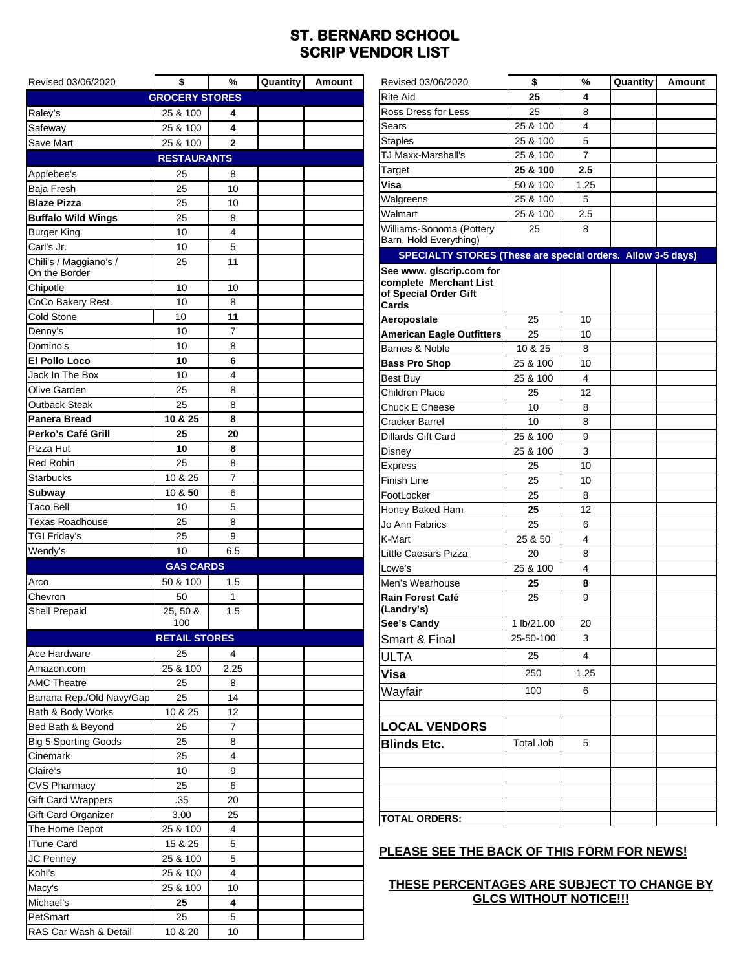## **ST. BERNARD SCHOOL SCRIP VENDOR LIST**

| Revised 03/06/2020                    | \$                    | %              | Quantity | Amount |  |  |  |  |  |
|---------------------------------------|-----------------------|----------------|----------|--------|--|--|--|--|--|
|                                       | <b>GROCERY STORES</b> |                |          |        |  |  |  |  |  |
| Raley's                               | 25 & 100              | 4              |          |        |  |  |  |  |  |
| Safeway                               | 25 & 100              | 4              |          |        |  |  |  |  |  |
| Save Mart                             | 25 & 100              | $\mathbf 2$    |          |        |  |  |  |  |  |
| <b>RESTAURANTS</b>                    |                       |                |          |        |  |  |  |  |  |
| Applebee's                            | 25                    | 8              |          |        |  |  |  |  |  |
| Baja Fresh                            | 25                    | 10             |          |        |  |  |  |  |  |
| <b>Blaze Pizza</b>                    | 25                    | 10             |          |        |  |  |  |  |  |
| <b>Buffalo Wild Wings</b>             | 25                    | 8              |          |        |  |  |  |  |  |
| <b>Burger King</b>                    | 10                    | 4              |          |        |  |  |  |  |  |
| Carl's Jr.                            | 10                    | 5              |          |        |  |  |  |  |  |
| Chili's / Maggiano's /                | 25                    | 11             |          |        |  |  |  |  |  |
| On the Border                         |                       |                |          |        |  |  |  |  |  |
| Chipotle                              | 10                    | 10             |          |        |  |  |  |  |  |
| CoCo Bakery Rest.                     | 10                    | 8              |          |        |  |  |  |  |  |
| Cold Stone                            | 10                    | 11             |          |        |  |  |  |  |  |
| Denny's                               | 10                    | $\overline{7}$ |          |        |  |  |  |  |  |
| Domino's                              | 10                    | 8              |          |        |  |  |  |  |  |
| <b>El Pollo Loco</b>                  | 10                    | 6              |          |        |  |  |  |  |  |
| Jack In The Box                       | 10                    | 4              |          |        |  |  |  |  |  |
| Olive Garden                          | 25                    | 8              |          |        |  |  |  |  |  |
| Outback Steak                         | 25                    | 8              |          |        |  |  |  |  |  |
| Panera Bread                          | 10 & 25               | 8              |          |        |  |  |  |  |  |
| Perko's Café Grill                    | 25                    | 20             |          |        |  |  |  |  |  |
| Pizza Hut                             | 10                    | 8              |          |        |  |  |  |  |  |
| <b>Red Robin</b>                      | 25                    | 8              |          |        |  |  |  |  |  |
| <b>Starbucks</b>                      | 10 & 25               | $\overline{7}$ |          |        |  |  |  |  |  |
| Subway                                | 10 & 50               | 6              |          |        |  |  |  |  |  |
| <b>Taco Bell</b>                      | 10                    | 5              |          |        |  |  |  |  |  |
| <b>Texas Roadhouse</b>                | 25                    | 8              |          |        |  |  |  |  |  |
| TGI Friday's                          | 25                    | 9              |          |        |  |  |  |  |  |
| Wendy's                               | 10                    | 6.5            |          |        |  |  |  |  |  |
|                                       | <b>GAS CARDS</b>      |                |          |        |  |  |  |  |  |
| Arco                                  | 50 & 100              | 1.5            |          |        |  |  |  |  |  |
| Chevron                               | 50                    | 1              |          |        |  |  |  |  |  |
| <b>Shell Prepaid</b>                  | 25, 50 &              | 1.5            |          |        |  |  |  |  |  |
|                                       | 100                   |                |          |        |  |  |  |  |  |
|                                       | <b>RETAIL STORES</b>  |                |          |        |  |  |  |  |  |
| Ace Hardware                          | 25                    | 4              |          |        |  |  |  |  |  |
| Amazon.com                            | 25 & 100              | 2.25           |          |        |  |  |  |  |  |
| <b>AMC Theatre</b>                    | 25                    | 8              |          |        |  |  |  |  |  |
| Banana Rep./Old Navy/Gap              | 25                    | 14             |          |        |  |  |  |  |  |
| Bath & Body Works                     | 10 & 25               | 12             |          |        |  |  |  |  |  |
| Bed Bath & Beyond                     | 25                    | 7              |          |        |  |  |  |  |  |
| <b>Big 5 Sporting Goods</b>           | 25                    | 8              |          |        |  |  |  |  |  |
| Cinemark                              | 25                    | 4              |          |        |  |  |  |  |  |
| Claire's                              | 10                    | 9<br>6         |          |        |  |  |  |  |  |
| <b>CVS Pharmacy</b>                   | 25                    |                |          |        |  |  |  |  |  |
| <b>Gift Card Wrappers</b>             | .35                   | 20             |          |        |  |  |  |  |  |
| Gift Card Organizer<br>The Home Depot | 3.00<br>25 & 100      | 25<br>4        |          |        |  |  |  |  |  |
| <b>ITune Card</b>                     | 15 & 25               | 5              |          |        |  |  |  |  |  |
|                                       |                       | 5              |          |        |  |  |  |  |  |
| JC Penney                             | 25 & 100              | 4              |          |        |  |  |  |  |  |
| Kohl's                                | 25 & 100<br>25 & 100  | 10             |          |        |  |  |  |  |  |
| Macy's<br>Michael's                   | 25                    | 4              |          |        |  |  |  |  |  |
| PetSmart                              | 25                    | 5              |          |        |  |  |  |  |  |
| RAS Car Wash & Detail                 | 10 & 20               | 10             |          |        |  |  |  |  |  |
|                                       |                       |                |          |        |  |  |  |  |  |

| Revised 03/06/2020                                                                   | \$               | %              | Quantity | Amount |
|--------------------------------------------------------------------------------------|------------------|----------------|----------|--------|
| <b>Rite Aid</b>                                                                      | 25               | 4              |          |        |
| Ross Dress for Less                                                                  | 25               | 8              |          |        |
| Sears                                                                                | 25 & 100         | 4              |          |        |
| <b>Staples</b>                                                                       | 25 & 100         | 5              |          |        |
| TJ Maxx-Marshall's                                                                   | 25 & 100         | $\overline{7}$ |          |        |
| Target                                                                               | 25 & 100         | 2.5            |          |        |
| Visa                                                                                 | 50 & 100         | 1.25           |          |        |
| Walgreens                                                                            | 25 & 100         | 5              |          |        |
| Walmart                                                                              | 25 & 100         | 2.5            |          |        |
| Williams-Sonoma (Pottery<br>Barn, Hold Everything)                                   | 25               | 8              |          |        |
| SPECIALTY STORES (These are special orders. Allow 3-5 days)                          |                  |                |          |        |
| See www. glscrip.com for<br>complete Merchant List<br>of Special Order Gift<br>Cards |                  |                |          |        |
| Aeropostale                                                                          | 25               | 10             |          |        |
| <b>American Eagle Outfitters</b>                                                     | 25               | 10             |          |        |
| Barnes & Noble                                                                       | 10 & 25          | 8              |          |        |
| <b>Bass Pro Shop</b>                                                                 | 25 & 100         | 10             |          |        |
| Best Buy                                                                             | 25 & 100         | 4              |          |        |
| <b>Children Place</b>                                                                | 25               | 12             |          |        |
| Chuck E Cheese                                                                       | 10               | 8              |          |        |
| Cracker Barrel                                                                       | 10               | 8              |          |        |
| Dillards Gift Card                                                                   | 25 & 100         | 9              |          |        |
| Disney                                                                               | 25 & 100         | 3              |          |        |
| Express                                                                              | 25               | 10             |          |        |
| Finish Line                                                                          | 25               | 10             |          |        |
| FootLocker                                                                           | 25               | 8              |          |        |
| Honey Baked Ham                                                                      | 25               | 12             |          |        |
| Jo Ann Fabrics                                                                       | 25               | 6              |          |        |
| K-Mart                                                                               | 25 & 50          | 4              |          |        |
| Little Caesars Pizza                                                                 | 20               | 8              |          |        |
| Lowe's                                                                               | 25 & 100         | 4              |          |        |
| Men's Wearhouse                                                                      | 25               | 8              |          |        |
| <b>Rain Forest Café</b><br>(Landry's)                                                | 25               | 9              |          |        |
| See's Candy                                                                          | 1 lb/21.00       | 20             |          |        |
| Smart & Final                                                                        | 25-50-100        | 3              |          |        |
| <b>ULTA</b>                                                                          | 25               | $\overline{4}$ |          |        |
| Visa                                                                                 | 250              | 1.25           |          |        |
| Wayfair                                                                              | 100              | 6              |          |        |
|                                                                                      |                  |                |          |        |
| <b>LOCAL VENDORS</b>                                                                 |                  |                |          |        |
| <b>Blinds Etc.</b>                                                                   | <b>Total Job</b> | 5              |          |        |
|                                                                                      |                  |                |          |        |
|                                                                                      |                  |                |          |        |
|                                                                                      |                  |                |          |        |
|                                                                                      |                  |                |          |        |
| <b>TOTAL ORDERS:</b>                                                                 |                  |                |          |        |

### **PLEASE SEE THE BACK OF THIS FORM FOR NEWS!**

### **THESE PERCENTAGES ARE SUBJECT TO CHANGE BY GLCS WITHOUT NOTICE!!!**